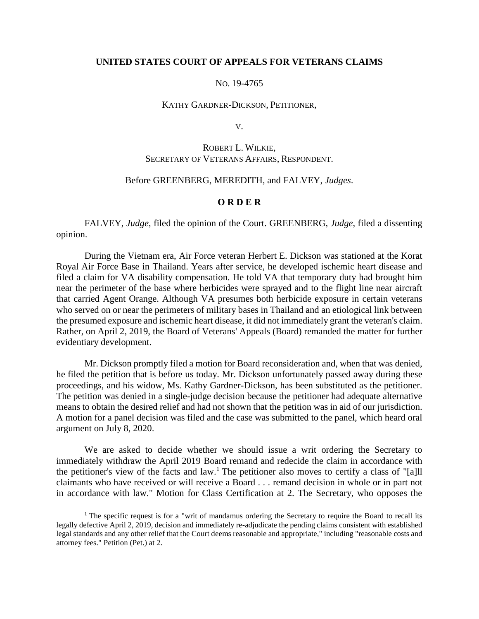### **UNITED STATES COURT OF APPEALS FOR VETERANS CLAIMS**

#### NO. 19-4765

#### KATHY GARDNER-DICKSON, PETITIONER,

V.

# ROBERT L. WILKIE, SECRETARY OF VETERANS AFFAIRS, RESPONDENT.

## Before GREENBERG, MEREDITH, and FALVEY, *Judges*.

#### **O R D E R**

FALVEY, *Judge*, filed the opinion of the Court. GREENBERG, *Judge*, filed a dissenting opinion.

During the Vietnam era, Air Force veteran Herbert E. Dickson was stationed at the Korat Royal Air Force Base in Thailand. Years after service, he developed ischemic heart disease and filed a claim for VA disability compensation. He told VA that temporary duty had brought him near the perimeter of the base where herbicides were sprayed and to the flight line near aircraft that carried Agent Orange. Although VA presumes both herbicide exposure in certain veterans who served on or near the perimeters of military bases in Thailand and an etiological link between the presumed exposure and ischemic heart disease, it did not immediately grant the veteran's claim. Rather, on April 2, 2019, the Board of Veterans' Appeals (Board) remanded the matter for further evidentiary development.

Mr. Dickson promptly filed a motion for Board reconsideration and, when that was denied, he filed the petition that is before us today. Mr. Dickson unfortunately passed away during these proceedings, and his widow, Ms. Kathy Gardner-Dickson, has been substituted as the petitioner. The petition was denied in a single-judge decision because the petitioner had adequate alternative means to obtain the desired relief and had not shown that the petition was in aid of our jurisdiction. A motion for a panel decision was filed and the case was submitted to the panel, which heard oral argument on July 8, 2020.

We are asked to decide whether we should issue a writ ordering the Secretary to immediately withdraw the April 2019 Board remand and redecide the claim in accordance with the petitioner's view of the facts and law. <sup>1</sup> The petitioner also moves to certify a class of "[a]ll claimants who have received or will receive a Board . . . remand decision in whole or in part not in accordance with law." Motion for Class Certification at 2. The Secretary, who opposes the

 $1$ <sup>1</sup> The specific request is for a "writ of mandamus ordering the Secretary to require the Board to recall its legally defective April 2, 2019, decision and immediately re-adjudicate the pending claims consistent with established legal standards and any other relief that the Court deems reasonable and appropriate," including "reasonable costs and attorney fees." Petition (Pet.) at 2.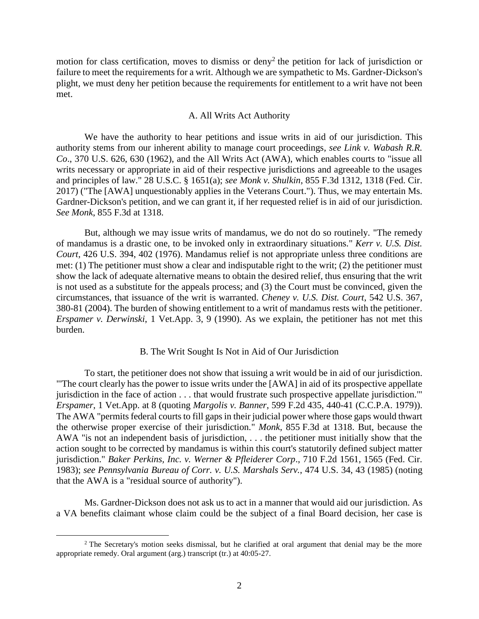motion for class certification, moves to dismiss or deny<sup>2</sup> the petition for lack of jurisdiction or failure to meet the requirements for a writ. Although we are sympathetic to Ms. Gardner-Dickson's plight, we must deny her petition because the requirements for entitlement to a writ have not been met.

## A. All Writs Act Authority

We have the authority to hear petitions and issue writs in aid of our jurisdiction. This authority stems from our inherent ability to manage court proceedings, *see Link v. Wabash R.R. Co*., 370 U.S. 626, 630 (1962), and the All Writs Act (AWA), which enables courts to "issue all writs necessary or appropriate in aid of their respective jurisdictions and agreeable to the usages and principles of law." 28 U.S.C. § 1651(a); *see Monk v. Shulkin*, 855 F.3d 1312, 1318 (Fed. Cir. 2017) ("The [AWA] unquestionably applies in the Veterans Court."). Thus, we may entertain Ms. Gardner-Dickson's petition, and we can grant it, if her requested relief is in aid of our jurisdiction. *See Monk*, 855 F.3d at 1318.

But, although we may issue writs of mandamus, we do not do so routinely. "The remedy of mandamus is a drastic one, to be invoked only in extraordinary situations." *Kerr v. U.S. Dist. Court*, 426 U.S. 394, 402 (1976). Mandamus relief is not appropriate unless three conditions are met: (1) The petitioner must show a clear and indisputable right to the writ; (2) the petitioner must show the lack of adequate alternative means to obtain the desired relief, thus ensuring that the writ is not used as a substitute for the appeals process; and (3) the Court must be convinced, given the circumstances, that issuance of the writ is warranted. *Cheney v. U.S. Dist. Court*, 542 U.S. 367, 380-81 (2004). The burden of showing entitlement to a writ of mandamus rests with the petitioner. *Erspamer v. Derwinski*, 1 Vet.App. 3, 9 (1990). As we explain, the petitioner has not met this burden.

# B. The Writ Sought Is Not in Aid of Our Jurisdiction

To start, the petitioner does not show that issuing a writ would be in aid of our jurisdiction. "'The court clearly has the power to issue writs under the [AWA] in aid of its prospective appellate jurisdiction in the face of action . . . that would frustrate such prospective appellate jurisdiction.'" *Erspamer*, 1 Vet.App. at 8 (quoting *Margolis v. Banner*, 599 F.2d 435, 440-41 (C.C.P.A. 1979)). The AWA "permits federal courts to fill gaps in their judicial power where those gaps would thwart the otherwise proper exercise of their jurisdiction." *Monk*, 855 F.3d at 1318. But, because the AWA "is not an independent basis of jurisdiction, . . . the petitioner must initially show that the action sought to be corrected by mandamus is within this court's statutorily defined subject matter jurisdiction." *Baker Perkins, Inc. v. Werner & Pfleiderer Corp*., 710 F.2d 1561, 1565 (Fed. Cir. 1983); *see Pennsylvania Bureau of Corr. v. U.S. Marshals Serv.*, 474 U.S. 34, 43 (1985) (noting that the AWA is a "residual source of authority").

Ms. Gardner-Dickson does not ask us to act in a manner that would aid our jurisdiction. As a VA benefits claimant whose claim could be the subject of a final Board decision, her case is

<sup>&</sup>lt;sup>2</sup> The Secretary's motion seeks dismissal, but he clarified at oral argument that denial may be the more appropriate remedy. Oral argument (arg.) transcript (tr.) at 40:05-27.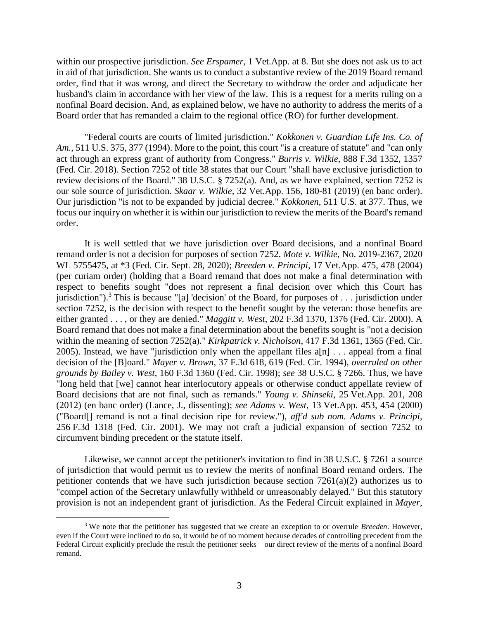within our prospective jurisdiction. *See Erspamer*, 1 Vet.App. at 8. But she does not ask us to act in aid of that jurisdiction. She wants us to conduct a substantive review of the 2019 Board remand order, find that it was wrong, and direct the Secretary to withdraw the order and adjudicate her husband's claim in accordance with her view of the law. This is a request for a merits ruling on a nonfinal Board decision. And, as explained below, we have no authority to address the merits of a Board order that has remanded a claim to the regional office (RO) for further development.

"Federal courts are courts of limited jurisdiction." *Kokkonen v. Guardian Life Ins. Co. of Am.*, 511 U.S. 375, 377 (1994). More to the point, this court "is a creature of statute" and "can only act through an express grant of authority from Congress." *Burris v. Wilkie*, 888 F.3d 1352, 1357 (Fed. Cir. 2018). Section 7252 of title 38 states that our Court "shall have exclusive jurisdiction to review decisions of the Board." 38 U.S.C. § 7252(a). And, as we have explained, section 7252 is our sole source of jurisdiction. *Skaar v. Wilkie*, 32 Vet.App. 156, 180-81 (2019) (en banc order). Our jurisdiction "is not to be expanded by judicial decree." *Kokkonen*, 511 U.S. at 377. Thus, we focus our inquiry on whether it is within our jurisdiction to review the merits of the Board's remand order.

It is well settled that we have jurisdiction over Board decisions, and a nonfinal Board remand order is not a decision for purposes of section 7252. *Mote v. Wilkie*, No. 2019-2367, 2020 WL 5755475, at \*3 (Fed. Cir. Sept. 28, 2020); *Breeden v. Principi*, 17 Vet.App. 475, 478 (2004) (per curiam order) (holding that a Board remand that does not make a final determination with respect to benefits sought "does not represent a final decision over which this Court has jurisdiction").<sup>3</sup> This is because "[a] 'decision' of the Board, for purposes of . . . jurisdiction under section 7252, is the decision with respect to the benefit sought by the veteran: those benefits are either granted . . . , or they are denied." *Maggitt v. West*, 202 F.3d 1370, 1376 (Fed. Cir. 2000). A Board remand that does not make a final determination about the benefits sought is "not a decision within the meaning of section 7252(a)." *Kirkpatrick v. Nicholson*, 417 F.3d 1361, 1365 (Fed. Cir. 2005). Instead, we have "jurisdiction only when the appellant files  $a[n]$ ... appeal from a final decision of the [B]oard." *Mayer v. Brown*, 37 F.3d 618, 619 (Fed. Cir. 1994), *overruled on other grounds by Bailey v. West*, 160 F.3d 1360 (Fed. Cir. 1998); *see* 38 U.S.C. § 7266. Thus, we have "long held that [we] cannot hear interlocutory appeals or otherwise conduct appellate review of Board decisions that are not final, such as remands." *Young v. Shinseki*, 25 Vet.App. 201, 208 (2012) (en banc order) (Lance, J., dissenting); *see Adams v. West*, 13 Vet.App. 453, 454 (2000) ("Board[] remand is not a final decision ripe for review."), *aff'd sub nom. Adams v. Principi*, 256 F.3d 1318 (Fed. Cir. 2001). We may not craft a judicial expansion of section 7252 to circumvent binding precedent or the statute itself.

Likewise, we cannot accept the petitioner's invitation to find in 38 U.S.C. § 7261 a source of jurisdiction that would permit us to review the merits of nonfinal Board remand orders. The petitioner contends that we have such jurisdiction because section 7261(a)(2) authorizes us to "compel action of the Secretary unlawfully withheld or unreasonably delayed." But this statutory provision is not an independent grant of jurisdiction. As the Federal Circuit explained in *Mayer*,

<sup>3</sup> We note that the petitioner has suggested that we create an exception to or overrule *Breeden*. However, even if the Court were inclined to do so, it would be of no moment because decades of controlling precedent from the Federal Circuit explicitly preclude the result the petitioner seeks—our direct review of the merits of a nonfinal Board remand.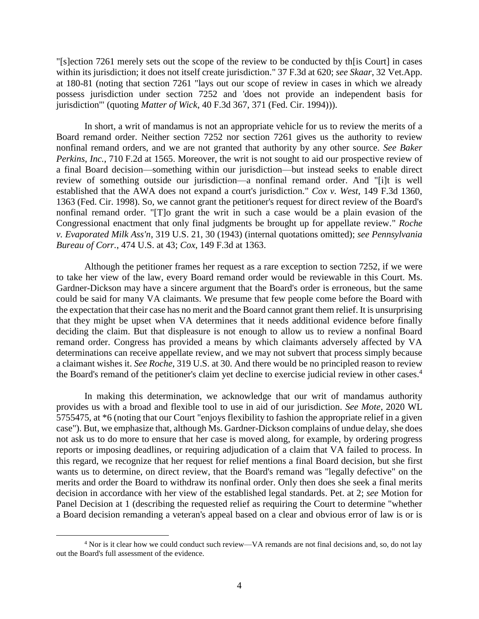"[s]ection 7261 merely sets out the scope of the review to be conducted by th[is Court] in cases within its jurisdiction; it does not itself create jurisdiction." 37 F.3d at 620; *see Skaar*, 32 Vet.App. at 180-81 (noting that section 7261 "lays out our scope of review in cases in which we already possess jurisdiction under section 7252 and 'does not provide an independent basis for jurisdiction'" (quoting *Matter of Wick*, 40 F.3d 367, 371 (Fed. Cir. 1994))).

In short, a writ of mandamus is not an appropriate vehicle for us to review the merits of a Board remand order. Neither section 7252 nor section 7261 gives us the authority to review nonfinal remand orders, and we are not granted that authority by any other source. *See Baker Perkins, Inc.*, 710 F.2d at 1565. Moreover, the writ is not sought to aid our prospective review of a final Board decision—something within our jurisdiction—but instead seeks to enable direct review of something outside our jurisdiction—a nonfinal remand order. And "[i]t is well established that the AWA does not expand a court's jurisdiction." *Cox v. West*, 149 F.3d 1360, 1363 (Fed. Cir. 1998). So, we cannot grant the petitioner's request for direct review of the Board's nonfinal remand order. "[T]o grant the writ in such a case would be a plain evasion of the Congressional enactment that only final judgments be brought up for appellate review." *Roche v. Evaporated Milk Ass'n*, 319 U.S. 21, 30 (1943) (internal quotations omitted); *see Pennsylvania Bureau of Corr.*, 474 U.S. at 43; *Cox*, 149 F.3d at 1363.

Although the petitioner frames her request as a rare exception to section 7252, if we were to take her view of the law, every Board remand order would be reviewable in this Court. Ms. Gardner-Dickson may have a sincere argument that the Board's order is erroneous, but the same could be said for many VA claimants. We presume that few people come before the Board with the expectation that their case has no merit and the Board cannot grant them relief. It is unsurprising that they might be upset when VA determines that it needs additional evidence before finally deciding the claim. But that displeasure is not enough to allow us to review a nonfinal Board remand order. Congress has provided a means by which claimants adversely affected by VA determinations can receive appellate review, and we may not subvert that process simply because a claimant wishes it. *See Roche*, 319 U.S. at 30. And there would be no principled reason to review the Board's remand of the petitioner's claim yet decline to exercise judicial review in other cases. 4

In making this determination, we acknowledge that our writ of mandamus authority provides us with a broad and flexible tool to use in aid of our jurisdiction. *See Mote*, 2020 WL 5755475, at \*6 (noting that our Court "enjoys flexibility to fashion the appropriate relief in a given case"). But, we emphasize that, although Ms. Gardner-Dickson complains of undue delay, she does not ask us to do more to ensure that her case is moved along, for example, by ordering progress reports or imposing deadlines, or requiring adjudication of a claim that VA failed to process. In this regard, we recognize that her request for relief mentions a final Board decision, but she first wants us to determine, on direct review, that the Board's remand was "legally defective" on the merits and order the Board to withdraw its nonfinal order. Only then does she seek a final merits decision in accordance with her view of the established legal standards. Pet. at 2; *see* Motion for Panel Decision at 1 (describing the requested relief as requiring the Court to determine "whether a Board decision remanding a veteran's appeal based on a clear and obvious error of law is or is

<sup>4</sup> Nor is it clear how we could conduct such review—VA remands are not final decisions and, so, do not lay out the Board's full assessment of the evidence.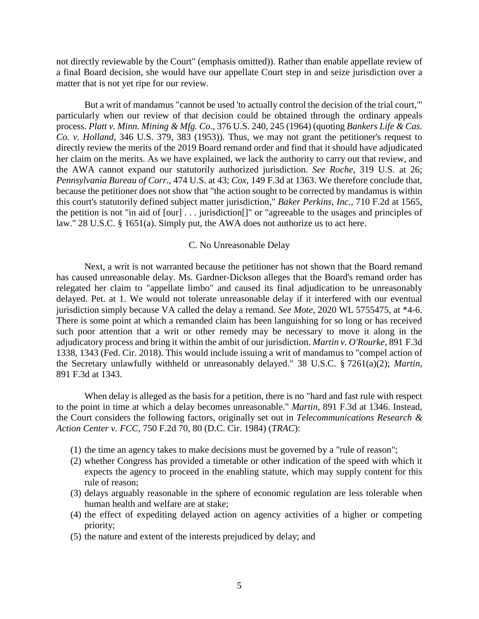not directly reviewable by the Court" (emphasis omitted)). Rather than enable appellate review of a final Board decision, she would have our appellate Court step in and seize jurisdiction over a matter that is not yet ripe for our review.

But a writ of mandamus "cannot be used 'to actually control the decision of the trial court,'" particularly when our review of that decision could be obtained through the ordinary appeals process. *Platt v. Minn. Mining & Mfg. Co*., 376 U.S. 240, 245 (1964) (quoting *Bankers Life & Cas. Co. v. Holland*, 346 U.S. 379, 383 (1953)). Thus, we may not grant the petitioner's request to directly review the merits of the 2019 Board remand order and find that it should have adjudicated her claim on the merits. As we have explained, we lack the authority to carry out that review, and the AWA cannot expand our statutorily authorized jurisdiction. *See Roche*, 319 U.S. at 26; *Pennsylvania Bureau of Corr.*, 474 U.S. at 43; *Cox*, 149 F.3d at 1363. We therefore conclude that, because the petitioner does not show that "the action sought to be corrected by mandamus is within this court's statutorily defined subject matter jurisdiction," *Baker Perkins, Inc.*, 710 F.2d at 1565, the petition is not "in aid of [our] . . . jurisdiction[]" or "agreeable to the usages and principles of law." 28 U.S.C. § 1651(a). Simply put, the AWA does not authorize us to act here.

## C. No Unreasonable Delay

Next, a writ is not warranted because the petitioner has not shown that the Board remand has caused unreasonable delay. Ms. Gardner-Dickson alleges that the Board's remand order has relegated her claim to "appellate limbo" and caused its final adjudication to be unreasonably delayed. Pet. at 1. We would not tolerate unreasonable delay if it interfered with our eventual jurisdiction simply because VA called the delay a remand. *See Mote*, 2020 WL 5755475, at \*4-6. There is some point at which a remanded claim has been languishing for so long or has received such poor attention that a writ or other remedy may be necessary to move it along in the adjudicatory process and bring it within the ambit of our jurisdiction. *Martin v. O'Rourke*, 891 F.3d 1338, 1343 (Fed. Cir. 2018). This would include issuing a writ of mandamus to "compel action of the Secretary unlawfully withheld or unreasonably delayed." 38 U.S.C. § 7261(a)(2); *Martin*, 891 F.3d at 1343.

When delay is alleged as the basis for a petition, there is no "hard and fast rule with respect to the point in time at which a delay becomes unreasonable." *Martin*, 891 F.3d at 1346. Instead, the Court considers the following factors, originally set out in *Telecommunications Research & Action Center v. FCC*, 750 F.2d 70, 80 (D.C. Cir. 1984) (*TRAC*):

- (1) the time an agency takes to make decisions must be governed by a "rule of reason";
- (2) whether Congress has provided a timetable or other indication of the speed with which it expects the agency to proceed in the enabling statute, which may supply content for this rule of reason;
- (3) delays arguably reasonable in the sphere of economic regulation are less tolerable when human health and welfare are at stake;
- (4) the effect of expediting delayed action on agency activities of a higher or competing priority;
- (5) the nature and extent of the interests prejudiced by delay; and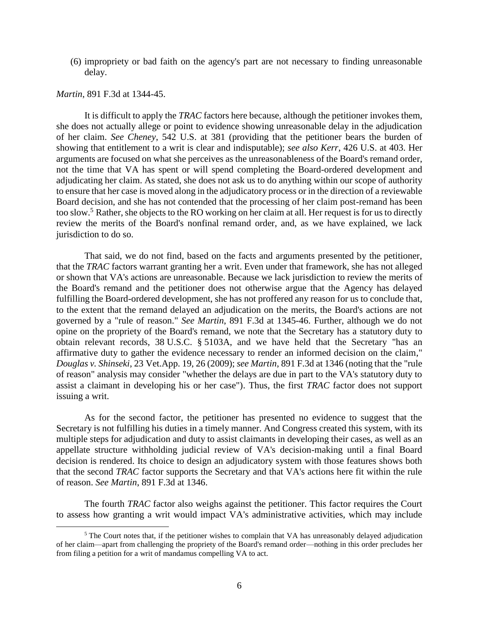(6) impropriety or bad faith on the agency's part are not necessary to finding unreasonable delay.

#### *Martin*, 891 F.3d at 1344-45.

 $\overline{a}$ 

It is difficult to apply the *TRAC* factors here because, although the petitioner invokes them, she does not actually allege or point to evidence showing unreasonable delay in the adjudication of her claim. *See Cheney*, 542 U.S. at 381 (providing that the petitioner bears the burden of showing that entitlement to a writ is clear and indisputable); *see also Kerr*, 426 U.S. at 403. Her arguments are focused on what she perceives as the unreasonableness of the Board's remand order, not the time that VA has spent or will spend completing the Board-ordered development and adjudicating her claim. As stated, she does not ask us to do anything within our scope of authority to ensure that her case is moved along in the adjudicatory process or in the direction of a reviewable Board decision, and she has not contended that the processing of her claim post-remand has been too slow.<sup>5</sup> Rather, she objects to the RO working on her claim at all. Her request is for us to directly review the merits of the Board's nonfinal remand order, and, as we have explained, we lack jurisdiction to do so.

That said, we do not find, based on the facts and arguments presented by the petitioner, that the *TRAC* factors warrant granting her a writ. Even under that framework, she has not alleged or shown that VA's actions are unreasonable. Because we lack jurisdiction to review the merits of the Board's remand and the petitioner does not otherwise argue that the Agency has delayed fulfilling the Board-ordered development, she has not proffered any reason for us to conclude that, to the extent that the remand delayed an adjudication on the merits, the Board's actions are not governed by a "rule of reason." *See Martin*, 891 F.3d at 1345-46. Further, although we do not opine on the propriety of the Board's remand, we note that the Secretary has a statutory duty to obtain relevant records, 38 U.S.C. § 5103A, and we have held that the Secretary "has an affirmative duty to gather the evidence necessary to render an informed decision on the claim," *Douglas v. Shinseki*, 23 Vet.App. 19, 26 (2009); *see Martin*, 891 F.3d at 1346 (noting that the "rule of reason" analysis may consider "whether the delays are due in part to the VA's statutory duty to assist a claimant in developing his or her case"). Thus, the first *TRAC* factor does not support issuing a writ.

As for the second factor, the petitioner has presented no evidence to suggest that the Secretary is not fulfilling his duties in a timely manner. And Congress created this system, with its multiple steps for adjudication and duty to assist claimants in developing their cases, as well as an appellate structure withholding judicial review of VA's decision-making until a final Board decision is rendered. Its choice to design an adjudicatory system with those features shows both that the second *TRAC* factor supports the Secretary and that VA's actions here fit within the rule of reason. *See Martin*, 891 F.3d at 1346.

The fourth *TRAC* factor also weighs against the petitioner. This factor requires the Court to assess how granting a writ would impact VA's administrative activities, which may include

<sup>&</sup>lt;sup>5</sup> The Court notes that, if the petitioner wishes to complain that VA has unreasonably delayed adjudication of her claim—apart from challenging the propriety of the Board's remand order—nothing in this order precludes her from filing a petition for a writ of mandamus compelling VA to act.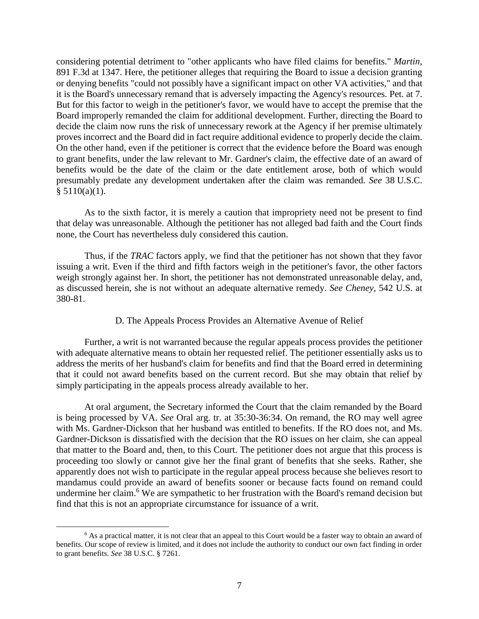considering potential detriment to "other applicants who have filed claims for benefits." *Martin*, 891 F.3d at 1347. Here, the petitioner alleges that requiring the Board to issue a decision granting or denying benefits "could not possibly have a significant impact on other VA activities," and that it is the Board's unnecessary remand that is adversely impacting the Agency's resources. Pet. at 7. But for this factor to weigh in the petitioner's favor, we would have to accept the premise that the Board improperly remanded the claim for additional development. Further, directing the Board to decide the claim now runs the risk of unnecessary rework at the Agency if her premise ultimately proves incorrect and the Board did in fact require additional evidence to properly decide the claim. On the other hand, even if the petitioner is correct that the evidence before the Board was enough to grant benefits, under the law relevant to Mr. Gardner's claim, the effective date of an award of benefits would be the date of the claim or the date entitlement arose, both of which would presumably predate any development undertaken after the claim was remanded. *See* 38 U.S.C.  $§ 5110(a)(1).$ 

As to the sixth factor, it is merely a caution that impropriety need not be present to find that delay was unreasonable. Although the petitioner has not alleged bad faith and the Court finds none, the Court has nevertheless duly considered this caution.

Thus, if the *TRAC* factors apply, we find that the petitioner has not shown that they favor issuing a writ. Even if the third and fifth factors weigh in the petitioner's favor, the other factors weigh strongly against her. In short, the petitioner has not demonstrated unreasonable delay, and, as discussed herein, she is not without an adequate alternative remedy. *See Cheney*, 542 U.S. at 380-81.

# D. The Appeals Process Provides an Alternative Avenue of Relief

Further, a writ is not warranted because the regular appeals process provides the petitioner with adequate alternative means to obtain her requested relief. The petitioner essentially asks us to address the merits of her husband's claim for benefits and find that the Board erred in determining that it could not award benefits based on the current record. But she may obtain that relief by simply participating in the appeals process already available to her.

At oral argument, the Secretary informed the Court that the claim remanded by the Board is being processed by VA. *See* Oral arg. tr. at 35:30-36:34. On remand, the RO may well agree with Ms. Gardner-Dickson that her husband was entitled to benefits. If the RO does not, and Ms. Gardner-Dickson is dissatisfied with the decision that the RO issues on her claim, she can appeal that matter to the Board and, then, to this Court. The petitioner does not argue that this process is proceeding too slowly or cannot give her the final grant of benefits that she seeks. Rather, she apparently does not wish to participate in the regular appeal process because she believes resort to mandamus could provide an award of benefits sooner or because facts found on remand could undermine her claim.<sup>6</sup> We are sympathetic to her frustration with the Board's remand decision but find that this is not an appropriate circumstance for issuance of a writ.

<sup>&</sup>lt;sup>6</sup> As a practical matter, it is not clear that an appeal to this Court would be a faster way to obtain an award of benefits. Our scope of review is limited, and it does not include the authority to conduct our own fact finding in order to grant benefits. *See* 38 U.S.C. § 7261.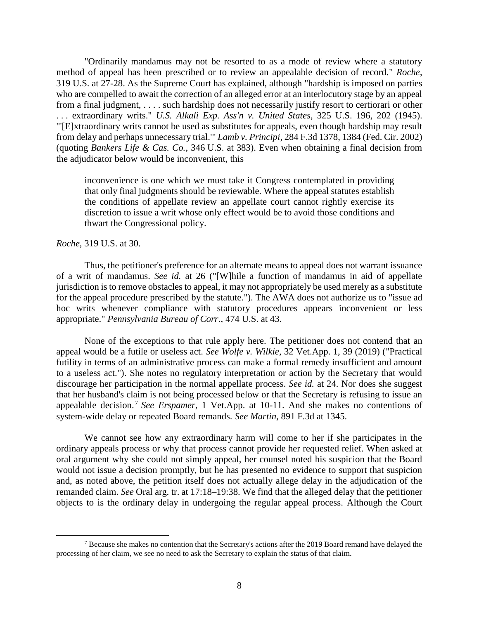"Ordinarily mandamus may not be resorted to as a mode of review where a statutory method of appeal has been prescribed or to review an appealable decision of record." *Roche*, 319 U.S. at 27-28. As the Supreme Court has explained, although "hardship is imposed on parties who are compelled to await the correction of an alleged error at an interlocutory stage by an appeal from a final judgment, . . . . such hardship does not necessarily justify resort to certiorari or other . . . extraordinary writs." *U.S. Alkali Exp. Ass'n v. United States*, 325 U.S. 196, 202 (1945). "'[E]xtraordinary writs cannot be used as substitutes for appeals, even though hardship may result from delay and perhaps unnecessary trial.'" *Lamb v. Principi*, 284 F.3d 1378, 1384 (Fed. Cir. 2002) (quoting *Bankers Life & Cas. Co.*, 346 U.S. at 383). Even when obtaining a final decision from the adjudicator below would be inconvenient, this

inconvenience is one which we must take it Congress contemplated in providing that only final judgments should be reviewable. Where the appeal statutes establish the conditions of appellate review an appellate court cannot rightly exercise its discretion to issue a writ whose only effect would be to avoid those conditions and thwart the Congressional policy.

*Roche*, 319 U.S. at 30.

 $\overline{a}$ 

Thus, the petitioner's preference for an alternate means to appeal does not warrant issuance of a writ of mandamus. *See id.* at 26 ("[W]hile a function of mandamus in aid of appellate jurisdiction is to remove obstacles to appeal, it may not appropriately be used merely as a substitute for the appeal procedure prescribed by the statute."). The AWA does not authorize us to "issue ad hoc writs whenever compliance with statutory procedures appears inconvenient or less appropriate." *Pennsylvania Bureau of Corr*., 474 U.S. at 43.

None of the exceptions to that rule apply here. The petitioner does not contend that an appeal would be a futile or useless act. *See Wolfe v. Wilkie*, 32 Vet.App. 1, 39 (2019) ("Practical futility in terms of an administrative process can make a formal remedy insufficient and amount to a useless act."). She notes no regulatory interpretation or action by the Secretary that would discourage her participation in the normal appellate process. *See id.* at 24. Nor does she suggest that her husband's claim is not being processed below or that the Secretary is refusing to issue an appealable decision. <sup>7</sup> *See Erspamer*, 1 Vet.App. at 10-11. And she makes no contentions of system-wide delay or repeated Board remands. *See Martin*, 891 F.3d at 1345.

We cannot see how any extraordinary harm will come to her if she participates in the ordinary appeals process or why that process cannot provide her requested relief. When asked at oral argument why she could not simply appeal, her counsel noted his suspicion that the Board would not issue a decision promptly, but he has presented no evidence to support that suspicion and, as noted above, the petition itself does not actually allege delay in the adjudication of the remanded claim. *See* Oral arg. tr. at 17:18–19:38. We find that the alleged delay that the petitioner objects to is the ordinary delay in undergoing the regular appeal process. Although the Court

<sup>&</sup>lt;sup>7</sup> Because she makes no contention that the Secretary's actions after the 2019 Board remand have delayed the processing of her claim, we see no need to ask the Secretary to explain the status of that claim.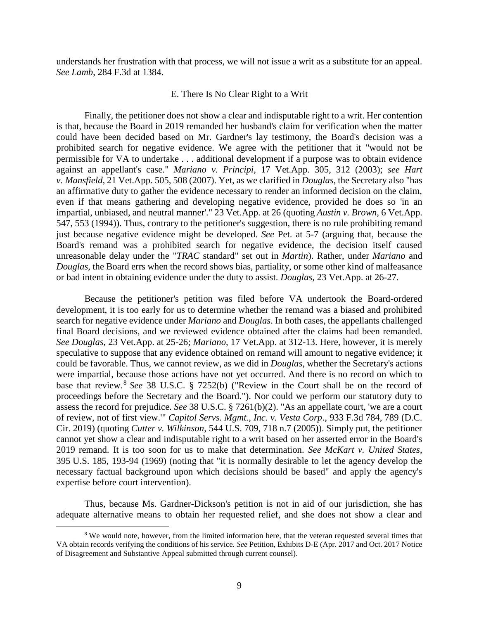understands her frustration with that process, we will not issue a writ as a substitute for an appeal. *See Lamb*, 284 F.3d at 1384.

### E. There Is No Clear Right to a Writ

Finally, the petitioner does not show a clear and indisputable right to a writ. Her contention is that, because the Board in 2019 remanded her husband's claim for verification when the matter could have been decided based on Mr. Gardner's lay testimony, the Board's decision was a prohibited search for negative evidence. We agree with the petitioner that it "would not be permissible for VA to undertake . . . additional development if a purpose was to obtain evidence against an appellant's case." *Mariano v. Principi*, 17 Vet.App. 305, 312 (2003); *see Hart v. Mansfield*, 21 Vet.App. 505, 508 (2007). Yet, as we clarified in *Douglas*, the Secretary also "has an affirmative duty to gather the evidence necessary to render an informed decision on the claim, even if that means gathering and developing negative evidence, provided he does so 'in an impartial, unbiased, and neutral manner'." 23 Vet.App. at 26 (quoting *Austin v. Brown*, 6 Vet.App. 547, 553 (1994)). Thus, contrary to the petitioner's suggestion, there is no rule prohibiting remand just because negative evidence might be developed. *See* Pet. at 5-7 (arguing that, because the Board's remand was a prohibited search for negative evidence, the decision itself caused unreasonable delay under the "*TRAC* standard" set out in *Martin*). Rather, under *Mariano* and *Douglas*, the Board errs when the record shows bias, partiality, or some other kind of malfeasance or bad intent in obtaining evidence under the duty to assist. *Douglas*, 23 Vet.App. at 26-27.

Because the petitioner's petition was filed before VA undertook the Board-ordered development, it is too early for us to determine whether the remand was a biased and prohibited search for negative evidence under *Mariano* and *Douglas*. In both cases, the appellants challenged final Board decisions, and we reviewed evidence obtained after the claims had been remanded. *See Douglas*, 23 Vet.App. at 25-26; *Mariano*, 17 Vet.App. at 312-13. Here, however, it is merely speculative to suppose that any evidence obtained on remand will amount to negative evidence; it could be favorable. Thus, we cannot review, as we did in *Douglas*, whether the Secretary's actions were impartial, because those actions have not yet occurred. And there is no record on which to base that review.<sup>8</sup> *See* 38 U.S.C. § 7252(b) ("Review in the Court shall be on the record of proceedings before the Secretary and the Board."). Nor could we perform our statutory duty to assess the record for prejudice. *See* 38 U.S.C. § 7261(b)(2). "As an appellate court, 'we are a court of review, not of first view.'" *Capitol Servs. Mgmt., Inc. v. Vesta Corp*., 933 F.3d 784, 789 (D.C. Cir. 2019) (quoting *Cutter v. Wilkinson*, 544 U.S. 709, 718 n.7 (2005)). Simply put, the petitioner cannot yet show a clear and indisputable right to a writ based on her asserted error in the Board's 2019 remand. It is too soon for us to make that determination. *See McKart v. United States*, 395 U.S. 185, 193-94 (1969) (noting that "it is normally desirable to let the agency develop the necessary factual background upon which decisions should be based" and apply the agency's expertise before court intervention).

Thus, because Ms. Gardner-Dickson's petition is not in aid of our jurisdiction, she has adequate alternative means to obtain her requested relief, and she does not show a clear and

<sup>&</sup>lt;sup>8</sup> We would note, however, from the limited information here, that the veteran requested several times that VA obtain records verifying the conditions of his service. *See* Petition, Exhibits D-E (Apr. 2017 and Oct. 2017 Notice of Disagreement and Substantive Appeal submitted through current counsel).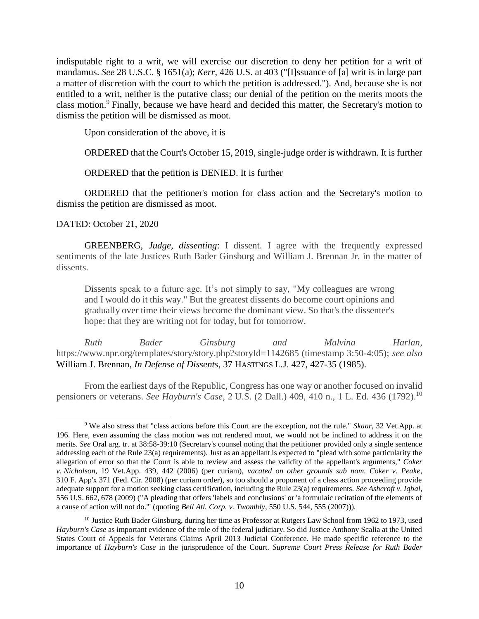indisputable right to a writ, we will exercise our discretion to deny her petition for a writ of mandamus. *See* 28 U.S.C. § 1651(a); *Kerr*, 426 U.S. at 403 ("[I]ssuance of [a] writ is in large part a matter of discretion with the court to which the petition is addressed."). And, because she is not entitled to a writ, neither is the putative class; our denial of the petition on the merits moots the class motion. <sup>9</sup> Finally, because we have heard and decided this matter, the Secretary's motion to dismiss the petition will be dismissed as moot.

Upon consideration of the above, it is

ORDERED that the Court's October 15, 2019, single-judge order is withdrawn. It is further

ORDERED that the petition is DENIED. It is further

ORDERED that the petitioner's motion for class action and the Secretary's motion to dismiss the petition are dismissed as moot.

# DATED: October 21, 2020

 $\overline{a}$ 

GREENBERG, *Judge, dissenting*: I dissent. I agree with the frequently expressed sentiments of the late Justices Ruth Bader Ginsburg and William J. Brennan Jr. in the matter of dissents.

Dissents speak to a future age. It's not simply to say, "My colleagues are wrong and I would do it this way." But the greatest dissents do become court opinions and gradually over time their views become the dominant view. So that's the dissenter's hope: that they are writing not for today, but for tomorrow.

*Ruth Bader Ginsburg and Malvina Harlan*, https://www.npr.org/templates/story/story.php?storyId=1142685 (timestamp 3:50-4:05); *see also*  William J. Brennan, *In Defense of Dissents*, 37 HASTINGS L.J. 427, 427-35 (1985).

From the earliest days of the Republic, Congress has one way or another focused on invalid pensioners or veterans. *See Hayburn's Case*, 2 U.S. (2 Dall.) 409, 410 n., 1 L. Ed. 436 (1792). 10

<sup>9</sup> We also stress that "class actions before this Court are the exception, not the rule." *Skaar*, 32 Vet.App. at 196. Here, even assuming the class motion was not rendered moot, we would not be inclined to address it on the merits. *See* Oral arg. tr. at 38:58-39:10 (Secretary's counsel noting that the petitioner provided only a single sentence addressing each of the Rule 23(a) requirements). Just as an appellant is expected to "plead with some particularity the allegation of error so that the Court is able to review and assess the validity of the appellant's arguments," *Coker v. Nicholson*, 19 Vet.App. 439, 442 (2006) (per curiam), *vacated on other grounds sub nom. Coker v. Peake*, 310 F. App'x 371 (Fed. Cir. 2008) (per curiam order), so too should a proponent of a class action proceeding provide adequate support for a motion seeking class certification, including the Rule 23(a) requirements. *See Ashcroft v. Iqbal*, 556 U.S. 662, 678 (2009) ("A pleading that offers 'labels and conclusions' or 'a formulaic recitation of the elements of a cause of action will not do.'" (quoting *Bell Atl. Corp. v. Twombly*, 550 U.S. 544, 555 (2007))).

 $10$  Justice Ruth Bader Ginsburg, during her time as Professor at Rutgers Law School from 1962 to 1973, used *Hayburn's Case* as important evidence of the role of the federal judiciary. So did Justice Anthony Scalia at the United States Court of Appeals for Veterans Claims April 2013 Judicial Conference. He made specific reference to the importance of *Hayburn's Case* in the jurisprudence of the Court. *Supreme Court Press Release for Ruth Bader*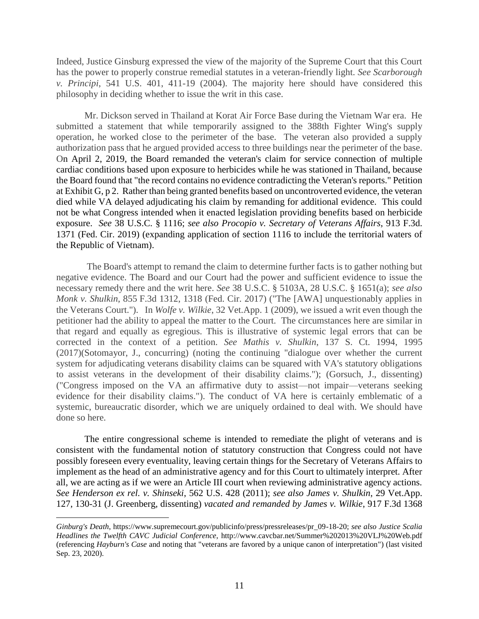Indeed, Justice Ginsburg expressed the view of the majority of the Supreme Court that this Court has the power to properly construe remedial statutes in a veteran-friendly light. *See Scarborough v. Principi*, 541 U.S. 401, 411-19 (2004). The majority here should have considered this philosophy in deciding whether to issue the writ in this case.

Mr. Dickson served in Thailand at Korat Air Force Base during the Vietnam War era. He submitted a statement that while temporarily assigned to the 388th Fighter Wing's supply operation, he worked close to the perimeter of the base. The veteran also provided a supply authorization pass that he argued provided access to three buildings near the perimeter of the base. On April 2, 2019, the Board remanded the veteran's claim for service connection of multiple cardiac conditions based upon exposure to herbicides while he was stationed in Thailand, because the Board found that "the record contains no evidence contradicting the Veteran's reports." Petition at Exhibit G, p 2. Rather than being granted benefits based on uncontroverted evidence, the veteran died while VA delayed adjudicating his claim by remanding for additional evidence. This could not be what Congress intended when it enacted legislation providing benefits based on herbicide exposure. *See* 38 U.S.C. § 1116; *see also Procopio v. Secretary of Veterans Affairs*, 913 F.3d. 1371 (Fed. Cir. 2019) (expanding application of section 1116 to include the territorial waters of the Republic of Vietnam).

The Board's attempt to remand the claim to determine further facts is to gather nothing but negative evidence. The Board and our Court had the power and sufficient evidence to issue the necessary remedy there and the writ here. *See* 38 U.S.C. § 5103A*,* 28 U.S.C. § 1651(a); *see also Monk v. Shulkin*, 855 F.3d 1312, 1318 (Fed. Cir. 2017) ("The [AWA] unquestionably applies in the Veterans Court.").In *Wolfe v. Wilkie*, 32 Vet.App. 1 (2009), we issued a writ even though the petitioner had the ability to appeal the matter to the Court. The circumstances here are similar in that regard and equally as egregious. This is illustrative of systemic legal errors that can be corrected in the context of a petition. *See Mathis v. Shulkin*, 137 S. Ct. 1994, 1995 (2017)(Sotomayor, J., concurring) (noting the continuing "dialogue over whether the current system for adjudicating veterans disability claims can be squared with VA's statutory obligations to assist veterans in the development of their disability claims."); (Gorsuch, J., dissenting) ("Congress imposed on the VA an affirmative duty to assist—not impair—veterans seeking evidence for their disability claims."). The conduct of VA here is certainly emblematic of a systemic, bureaucratic disorder, which we are uniquely ordained to deal with. We should have done so here.

The entire congressional scheme is intended to remediate the plight of veterans and is consistent with the fundamental notion of statutory construction that Congress could not have possibly foreseen every eventuality, leaving certain things for the Secretary of Veterans Affairs to implement as the head of an administrative agency and for this Court to ultimately interpret. After all, we are acting as if we were an Article III court when reviewing administrative agency actions. *See Henderson ex rel. v. Shinseki*, 562 U.S. 428 (2011); *see also James v. Shulkin*, 29 Vet.App. 127, 130-31 (J. Greenberg, dissenting) *vacated and remanded by James v. Wilkie*, 917 F.3d 1368

*Ginburg's Death*, https://www.supremecourt.gov/publicinfo/press/pressreleases/pr\_09-18-20; *see also Justice Scalia Headlines the Twelfth CAVC Judicial Conference*, http://www.cavcbar.net/Summer%202013%20VLJ%20Web.pdf (referencing *Hayburn's Case* and noting that "veterans are favored by a unique canon of interpretation") (last visited Sep. 23, 2020).